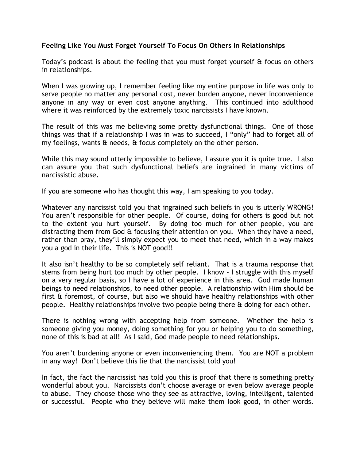## Feeling Like You Must Forget Yourself To Focus On Others In Relationships

Today's podcast is about the feeling that you must forget yourself & focus on others in relationships.

When I was growing up, I remember feeling like my entire purpose in life was only to serve people no matter any personal cost, never burden anyone, never inconvenience anyone in any way or even cost anyone anything. This continued into adulthood where it was reinforced by the extremely toxic narcissists I have known.

The result of this was me believing some pretty dysfunctional things. One of those things was that if a relationship I was in was to succeed, I "only" had to forget all of my feelings, wants & needs, & focus completely on the other person.

While this may sound utterly impossible to believe, I assure you it is quite true. I also can assure you that such dysfunctional beliefs are ingrained in many victims of narcissistic abuse.

If you are someone who has thought this way, I am speaking to you today.

Whatever any narcissist told you that ingrained such beliefs in you is utterly WRONG! You aren't responsible for other people. Of course, doing for others is good but not to the extent you hurt yourself. By doing too much for other people, you are distracting them from God & focusing their attention on you. When they have a need, rather than pray, they'll simply expect you to meet that need, which in a way makes you a god in their life. This is NOT good!!

It also isn't healthy to be so completely self reliant. That is a trauma response that stems from being hurt too much by other people. I know – I struggle with this myself on a very regular basis, so I have a lot of experience in this area. God made human beings to need relationships, to need other people. A relationship with Him should be first & foremost, of course, but also we should have healthy relationships with other people. Healthy relationships involve two people being there & doing for each other.

There is nothing wrong with accepting help from someone. Whether the help is someone giving you money, doing something for you or helping you to do something, none of this is bad at all! As I said, God made people to need relationships.

You aren't burdening anyone or even inconveniencing them. You are NOT a problem in any way! Don't believe this lie that the narcissist told you!

In fact, the fact the narcissist has told you this is proof that there is something pretty wonderful about you. Narcissists don't choose average or even below average people to abuse. They choose those who they see as attractive, loving, intelligent, talented or successful. People who they believe will make them look good, in other words.